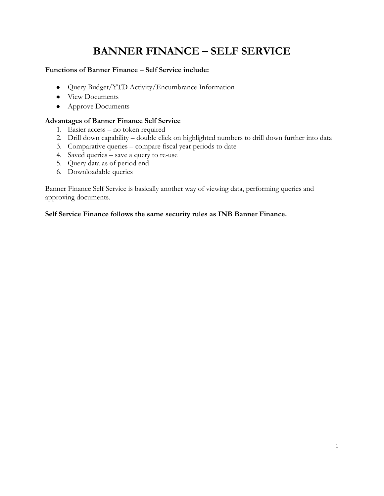# **BANNER FINANCE – SELF SERVICE**

#### **Functions of Banner Finance – Self Service include:**

- Query Budget/YTD Activity/Encumbrance Information
- View Documents
- Approve Documents

#### **Advantages of Banner Finance Self Service**

- 1. Easier access no token required
- 2. Drill down capability double click on highlighted numbers to drill down further into data
- 3. Comparative queries compare fiscal year periods to date
- 4. Saved queries save a query to re-use
- 5. Query data as of period end
- 6. Downloadable queries

Banner Finance Self Service is basically another way of viewing data, performing queries and approving documents.

**Self Service Finance follows the same security rules as INB Banner Finance.**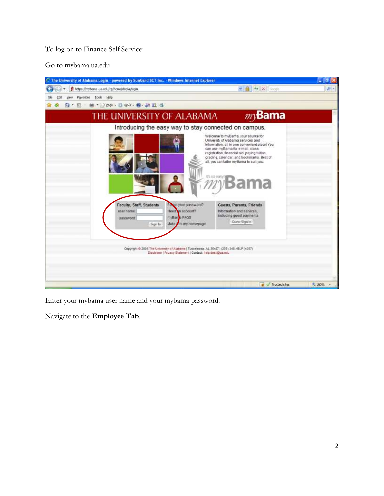To log on to Finance Self Service:

Go to mybama.ua.edu



Enter your mybama user name and your mybama password.

Navigate to the **Employee Tab**.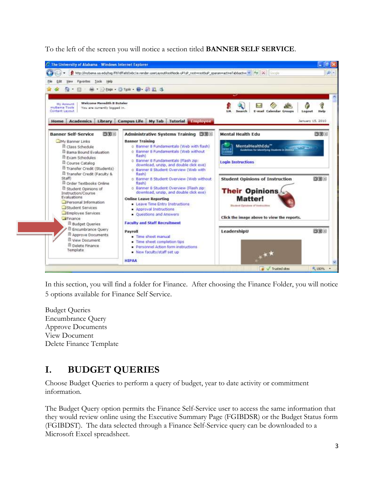To the left of the screen you will notice a section titled **BANNER SELF SERVICE**.



In this section, you will find a folder for Finance. After choosing the Finance Folder, you will notice 5 options available for Finance Self Service.

Budget Queries Encumbrance Query Approve Documents View Document Delete Finance Template

# **I. BUDGET QUERIES**

Choose Budget Queries to perform a query of budget, year to date activity or commitment information.

The Budget Query option permits the Finance Self-Service user to access the same information that they would review online using the Executive Summary Page (FGIBDSR) or the Budget Status form (FGIBDST). The data selected through a Finance Self-Service query can be downloaded to a Microsoft Excel spreadsheet.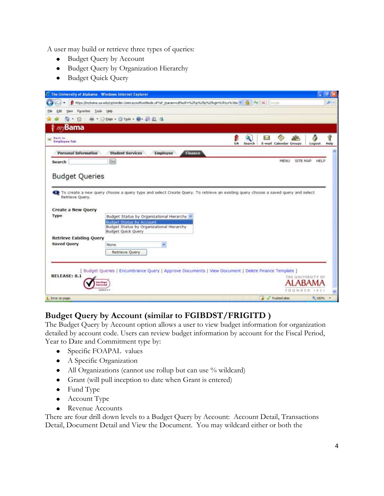A user may build or retrieve three types of queries:

- Budget Query by Account
- **•** Budget Query by Organization Hierarchy
- Budget Quick Query

|                                                                                                                                    |                                                                                                                                  |                     |                        |                              | l. le     |
|------------------------------------------------------------------------------------------------------------------------------------|----------------------------------------------------------------------------------------------------------------------------------|---------------------|------------------------|------------------------------|-----------|
|                                                                                                                                    | https://mybana.ua.edu/cp/render.UserLayoutRootNode.uP/uP_tparammutfbutf=%2fcp%2flogw%2flogw%3fsys%3dsr >   +   ++   X     -= civ |                     |                        |                              | $\rho$ .  |
| <b>Wew</b><br>Edit                                                                                                                 | Favorites Tools Help                                                                                                             |                     |                        |                              |           |
| 局<br>×                                                                                                                             | <b>Mi * 2000 · 3 Took · 日 近旦 3</b>                                                                                               |                     |                        |                              |           |
| $m$ Bama                                                                                                                           |                                                                                                                                  |                     |                        |                              |           |
| <b>M</b> Back to<br><b>Employee Tab</b>                                                                                            |                                                                                                                                  | <b>UA</b><br>Search | E-mail Calendar Groups | ô<br>Logout                  | 9<br>Help |
| <b>Personal Information</b>                                                                                                        | <b>Finance</b><br><b>Student Services</b><br>Employee                                                                            |                     |                        |                              |           |
| Search                                                                                                                             | Go                                                                                                                               |                     | MENU                   | <b>SITE MAP</b><br>HELP      |           |
| Retrieve Query.                                                                                                                    | To create a new query choose a query type and select Create Query. To retrieve an existing query choose a saved query and select |                     |                        |                              |           |
|                                                                                                                                    | Budget Status by Organizational Hierarchy<br><b>Budget Status by Account</b>                                                     |                     |                        |                              |           |
|                                                                                                                                    | Budget Status by Organizational Hierarchy<br><b>Budget Quick Query</b>                                                           |                     |                        |                              |           |
|                                                                                                                                    |                                                                                                                                  |                     |                        |                              |           |
|                                                                                                                                    | None<br>w                                                                                                                        |                     |                        |                              |           |
|                                                                                                                                    | Retrieve Query                                                                                                                   |                     |                        |                              |           |
|                                                                                                                                    |                                                                                                                                  |                     |                        |                              |           |
|                                                                                                                                    | Budget Queries   Encumbrance Query   Approve Documents   View Document   Delete Finance Template                                 |                     |                        |                              |           |
|                                                                                                                                    | eritius                                                                                                                          |                     |                        | THE UNIVERSITY OF            |           |
| <b>Budget Queries</b><br>Create a New Query<br>Type<br><b>Retrieve Existing Query</b><br><b>Saved Query</b><br><b>RELEASE: 8.1</b> | <b><i><u>Securad</u></i></b><br>VERIETT                                                                                          |                     |                        | <b>JABAN</b><br>FOUNDED 1831 |           |

### **Budget Query by Account (similar to FGIBDST/FRIGITD )**

The Budget Query by Account option allows a user to view budget information for organization detailed by account code. Users can review budget information by account for the Fiscal Period, Year to Date and Commitment type by:

- Specific FOAPAL values
- A Specific Organization
- All Organizations (cannot use rollup but can use % wildcard)
- Grant (will pull inception to date when Grant is entered)
- Fund Type
- Account Type
- Revenue Accounts

There are four drill down levels to a Budget Query by Account: Account Detail, Transactions Detail, Document Detail and View the Document. You may wildcard either or both the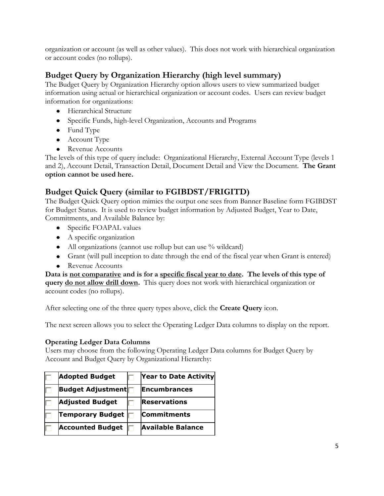organization or account (as well as other values). This does not work with hierarchical organization or account codes (no rollups).

### **Budget Query by Organization Hierarchy (high level summary)**

The Budget Query by Organization Hierarchy option allows users to view summarized budget information using actual or hierarchical organization or account codes. Users can review budget information for organizations:

- Hierarchical Structure
- Specific Funds, high-level Organization, Accounts and Programs
- Fund Type
- Account Type
- Revenue Accounts

The levels of this type of query include: Organizational Hierarchy, External Account Type (levels 1 and 2), Account Detail, Transaction Detail, Document Detail and View the Document. **The Grant option cannot be used here.**

### **Budget Quick Query (similar to FGIBDST/FRIGITD)**

The Budget Quick Query option mimics the output one sees from Banner Baseline form FGIBDST for Budget Status. It is used to review budget information by Adjusted Budget, Year to Date, Commitments, and Available Balance by:

- Specific FOAPAL values
- A specific organization
- All organizations (cannot use rollup but can use % wildcard)
- Grant (will pull inception to date through the end of the fiscal year when Grant is entered)
- Revenue Accounts

**Data is not comparative and is for a specific fiscal year to date. The levels of this type of query do not allow drill down.** This query does not work with hierarchical organization or account codes (no rollups).

After selecting one of the three query types above, click the **Create Query** icon.

The next screen allows you to select the Operating Ledger Data columns to display on the report.

#### **Operating Ledger Data Columns**

Users may choose from the following Operating Ledger Data columns for Budget Query by Account and Budget Query by Organizational Hierarchy:

| <b>Adopted Budget</b>    | <b>Year to Date Activity</b> |
|--------------------------|------------------------------|
| <b>Budget Adjustment</b> | <b>Encumbrances</b>          |
| <b>Adjusted Budget</b>   | Reservations                 |
| <b>Temporary Budget</b>  | <b>Commitments</b>           |
| <b>Accounted Budget</b>  | <b>Available Balance</b>     |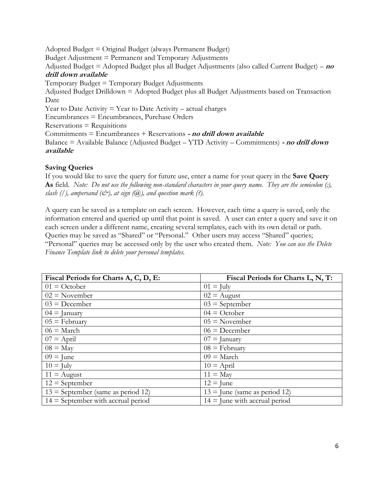Adopted Budget = Original Budget (always Permanent Budget) Budget Adjustment = Permanent and Temporary Adjustments Adjusted Budget = Adopted Budget plus all Budget Adjustments (also called Current Budget) – **no drill down available** Temporary Budget = Temporary Budget Adjustments Adjusted Budget Drilldown = Adopted Budget plus all Budget Adjustments based on Transaction Date Year to Date Activity  $=$  Year to Date Activity  $-$  actual charges Encumbrances = Encumbrances, Purchase Orders  $Reservations = Requirements$ Commitments = Encumbrances + Reservations **- no drill down available** Balance = Available Balance (Adjusted Budget – YTD Activity – Commitments) **- no drill down available**

#### **Saving Queries**

If you would like to save the query for future use, enter a name for your query in the **Save Query As** field. *Note: Do not use the following non-standard characters in your query name. They are the semicolon (;), slash (/), ampersand (* $\mathcal{O}$ *), at sign (* $\mathcal{O}$ *), and question mark (?).* 

A query can be saved as a template on each screen. However, each time a query is saved, only the information entered and queried up until that point is saved. A user can enter a query and save it on each screen under a different name, creating several templates, each with its own detail or path. Queries may be saved as "Shared" or "Personal." Other users may access "Shared" queries; "Personal" queries may be accessed only by the user who created them. *Note: You can use the Delete Finance Template link to delete your personal templates.*

| Fiscal Periods for Charts A, C, D, E: | Fiscal Periods for Charts L, N, T: |
|---------------------------------------|------------------------------------|
| $01 = October$                        | $01 =$ July                        |
| $02$ = November                       | $02$ = August                      |
| $03 = December$                       | $03$ = September                   |
| $04 =$ January                        | $04 = October$                     |
| $05 = \text{February}$                | $05 = November$                    |
| $06$ = March                          | $06 = December$                    |
| $07 =$ April                          | $07 =$ January                     |
| $08 =$ May                            | $08 = \text{February}$             |
| $09 =$ June                           | $09$ = March                       |
| $10 =$ July                           | $10 =$ April                       |
| $11 =$ August                         | $11 =$ May                         |
| $12 =$ September                      | $12 =$ June                        |
| $13$ = September (same as period 12)  | $13 =$ June (same as period 12)    |
| $14 =$ September with accrual period  | $14 =$ June with accrual period    |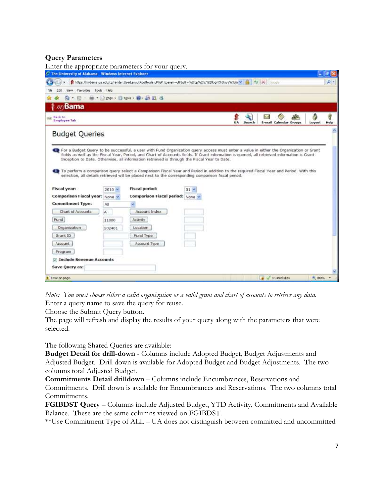#### **Query Parameters**

|                                                       |               | Enter the appropriate parameters for your query.                                                                                                                                                                                                                                                                                                                                                                  |                 |              |                        |        |           |
|-------------------------------------------------------|---------------|-------------------------------------------------------------------------------------------------------------------------------------------------------------------------------------------------------------------------------------------------------------------------------------------------------------------------------------------------------------------------------------------------------------------|-----------------|--------------|------------------------|--------|-----------|
| The University of Alabama - Windows Internet Explorer |               |                                                                                                                                                                                                                                                                                                                                                                                                                   |                 |              |                        |        | Ξ         |
|                                                       |               | https://mybana.ua.edu/cp/render.UserLayoutRootNode.uP/tuP_tparammutfbutf=%2fcp%2fip%2flogm%3fsys%3dsi w   +   +   +   X     Cocole                                                                                                                                                                                                                                                                                |                 |              |                        |        | $\rho$ .  |
| Favorites<br>Vienva                                   | Tools Help    |                                                                                                                                                                                                                                                                                                                                                                                                                   |                 |              |                        |        |           |
|                                                       |               | · 图 · 输 · 分2000 · 日Took · 四· 四 四 名                                                                                                                                                                                                                                                                                                                                                                                |                 |              |                        |        |           |
| $m$ Bama                                              |               |                                                                                                                                                                                                                                                                                                                                                                                                                   |                 |              |                        |        |           |
| Back to<br><b>Employee Tab</b>                        |               |                                                                                                                                                                                                                                                                                                                                                                                                                   |                 | UA<br>Search | E-mail Calendar Groups | Logout | 9<br>Help |
| <b>Budget Queries</b>                                 |               |                                                                                                                                                                                                                                                                                                                                                                                                                   |                 |              |                        |        |           |
| <b>Fiscal year:</b><br>Comparison Fiscal year: None v | $2010$ $\sim$ | Inception to Date. Otherwise, all information retrieved is through the Fiscal Year to Date.<br>1. To perform a comparison query select a Comparison Fiscal Year and Period in addition to the required Fiscal Year and Period. With this<br>selection, all details retrieved will be placed next to the corresponding comparison fiscal period.<br><b>Fiscal period:</b><br><b>Comparison Fiscal period: None</b> | 01 <sup>3</sup> |              |                        |        |           |
| <b>Commitment Type:</b>                               | All           |                                                                                                                                                                                                                                                                                                                                                                                                                   |                 |              |                        |        |           |
| Chart of Accounts                                     | A.            | Account Index                                                                                                                                                                                                                                                                                                                                                                                                     |                 |              |                        |        |           |
| Fund                                                  | 11000         | Activity                                                                                                                                                                                                                                                                                                                                                                                                          |                 |              |                        |        |           |
| <b>Organization</b>                                   | 502401        | Location                                                                                                                                                                                                                                                                                                                                                                                                          |                 |              |                        |        |           |
| Grant 1D                                              |               | Fund Type                                                                                                                                                                                                                                                                                                                                                                                                         |                 |              |                        |        |           |
| Account.                                              |               | Account Type                                                                                                                                                                                                                                                                                                                                                                                                      |                 |              |                        |        |           |
| Program                                               |               |                                                                                                                                                                                                                                                                                                                                                                                                                   |                 |              |                        |        |           |
| <b>7 Include Revenue Accounts</b>                     |               |                                                                                                                                                                                                                                                                                                                                                                                                                   |                 |              |                        |        |           |
| Save Query as:                                        |               |                                                                                                                                                                                                                                                                                                                                                                                                                   |                 |              |                        |        |           |
|                                                       |               |                                                                                                                                                                                                                                                                                                                                                                                                                   |                 |              |                        |        |           |

*Note: You must choose either a valid organization or a valid grant and chart of accounts to retrieve any data.* Enter a query name to save the query for reuse.

Choose the Submit Query button.

The page will refresh and display the results of your query along with the parameters that were selected.

The following Shared Queries are available:

**Budget Detail for drill-down** - Columns include Adopted Budget, Budget Adjustments and Adjusted Budget. Drill down is available for Adopted Budget and Budget Adjustments. The two columns total Adjusted Budget.

**Commitments Detail drilldown** – Columns include Encumbrances, Reservations and Commitments. Drill down is available for Encumbrances and Reservations. The two columns total Commitments.

**FGIBDST Query** – Columns include Adjusted Budget, YTD Activity, Commitments and Available Balance. These are the same columns viewed on FGIBDST.

\*\*Use Commitment Type of ALL – UA does not distinguish between committed and uncommitted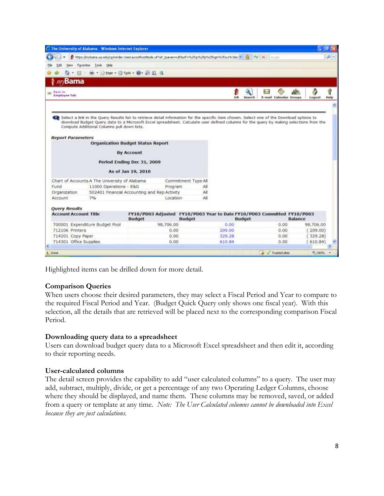| The University of Alabama - Windows Internet Explorer |                                                |                            |                     |     |                                                                                                                            |                                                                                                                                                                                                                                                                                       |                | ø        |
|-------------------------------------------------------|------------------------------------------------|----------------------------|---------------------|-----|----------------------------------------------------------------------------------------------------------------------------|---------------------------------------------------------------------------------------------------------------------------------------------------------------------------------------------------------------------------------------------------------------------------------------|----------------|----------|
|                                                       |                                                |                            |                     |     | https://mybaria.ua.adu/cp/render.UserLayoutRootNode.uP/uP_tparammutfbutf=%2fcp%2flo%2flogn%3fsys%3dsi =   ++   X     Cocoo |                                                                                                                                                                                                                                                                                       |                | $\rho$ . |
| Favorites                                             | Tools Help                                     |                            |                     |     |                                                                                                                            |                                                                                                                                                                                                                                                                                       |                |          |
|                                                       | · 图 · Mi · 2000 · 3 Took · W · 四目 3            |                            |                     |     |                                                                                                                            |                                                                                                                                                                                                                                                                                       |                |          |
| Bama                                                  |                                                |                            |                     |     |                                                                                                                            |                                                                                                                                                                                                                                                                                       |                |          |
|                                                       |                                                |                            |                     |     |                                                                                                                            |                                                                                                                                                                                                                                                                                       |                | 9        |
| Back to<br><b>Employee Tab</b>                        |                                                |                            |                     |     | UA<br>Search                                                                                                               | E-mail Calendar Groups                                                                                                                                                                                                                                                                | Logout         | Help     |
|                                                       |                                                |                            |                     |     |                                                                                                                            |                                                                                                                                                                                                                                                                                       |                |          |
|                                                       | Compute Additional Columns pull down lists.    |                            |                     |     |                                                                                                                            | Select a link in the Query Results list to retrieve detail information for the specific item chosen. Select one of the Download options to<br>download Budget Query data to a Microsoft Excel spreadsheet. Calculate user defined columns for the query by making selections from the |                |          |
| <b>Report Parameters</b>                              |                                                |                            |                     |     |                                                                                                                            |                                                                                                                                                                                                                                                                                       |                |          |
|                                                       | <b>Organization Budget Status Report</b>       |                            |                     |     |                                                                                                                            |                                                                                                                                                                                                                                                                                       |                |          |
|                                                       |                                                | <b>By Account</b>          |                     |     |                                                                                                                            |                                                                                                                                                                                                                                                                                       |                |          |
|                                                       |                                                | Period Ending Dec 31, 2009 |                     |     |                                                                                                                            |                                                                                                                                                                                                                                                                                       |                |          |
|                                                       |                                                |                            |                     |     |                                                                                                                            |                                                                                                                                                                                                                                                                                       |                |          |
|                                                       |                                                | As of Jan 19, 2010         |                     |     |                                                                                                                            |                                                                                                                                                                                                                                                                                       |                |          |
|                                                       | Chart of Accounts A The University of Alabama. |                            | Commitment Type All |     |                                                                                                                            |                                                                                                                                                                                                                                                                                       |                |          |
| Fund                                                  | 11000 Operations - E&G                         |                            | Program             | All |                                                                                                                            |                                                                                                                                                                                                                                                                                       |                |          |
| Organization                                          | 502401 Financial Accounting and Rep Activity   |                            |                     | AI  |                                                                                                                            |                                                                                                                                                                                                                                                                                       |                |          |
| Account                                               | 7%                                             |                            | Location            | All |                                                                                                                            |                                                                                                                                                                                                                                                                                       |                |          |
| <b>Query Results</b>                                  |                                                |                            |                     |     |                                                                                                                            |                                                                                                                                                                                                                                                                                       |                |          |
| <b>Account Account Title</b>                          |                                                | <b>Budget</b>              | <b>Budget</b>       |     | <b>Budget</b>                                                                                                              | FY10/PD03 Adjusted FY10/PD03 Year to Date FY10/PD03 Committed FY10/PD03                                                                                                                                                                                                               | <b>Balance</b> |          |
| 700001 Expenditure Budget Pool                        |                                                |                            | 98,706.00           |     | 0.00                                                                                                                       | 0.00.                                                                                                                                                                                                                                                                                 | 98.706.00      |          |
| 712106 Printers                                       |                                                |                            | 0.00                |     | 209.00                                                                                                                     | 0.00.                                                                                                                                                                                                                                                                                 | 209.00)        |          |
| 714201 Copy Paper                                     |                                                |                            | 0.00                |     | 329.28                                                                                                                     | 0.00.                                                                                                                                                                                                                                                                                 | 329.28)        |          |
| 714301 Office Supplies                                |                                                |                            | 0.00                |     | 610.84                                                                                                                     | 0.00.                                                                                                                                                                                                                                                                                 | 610.84         |          |
|                                                       |                                                |                            |                     |     |                                                                                                                            |                                                                                                                                                                                                                                                                                       |                |          |
| Done                                                  |                                                |                            |                     |     |                                                                                                                            | Trusted sites                                                                                                                                                                                                                                                                         | ft. 100%       |          |

Highlighted items can be drilled down for more detail.

#### **Comparison Queries**

When users choose their desired parameters, they may select a Fiscal Period and Year to compare to the required Fiscal Period and Year. (Budget Quick Query only shows one fiscal year). With this selection, all the details that are retrieved will be placed next to the corresponding comparison Fiscal Period.

#### **Downloading query data to a spreadsheet**

Users can download budget query data to a Microsoft Excel spreadsheet and then edit it, according to their reporting needs.

#### **User-calculated columns**

The detail screen provides the capability to add "user calculated columns" to a query. The user may add, subtract, multiply, divide, or get a percentage of any two Operating Ledger Columns, choose where they should be displayed, and name them. These columns may be removed, saved, or added from a query or template at any time. *Note: The User Calculated columns cannot be downloaded into Excel because they are just calculations.*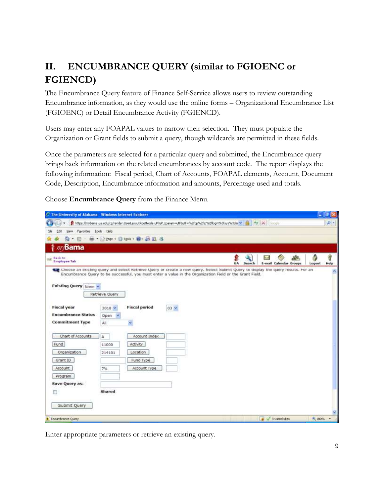# **II. ENCUMBRANCE QUERY (similar to FGIOENC or FGIENCD)**

The Encumbrance Query feature of Finance Self-Service allows users to review outstanding Encumbrance information, as they would use the online forms – Organizational Encumbrance List (FGIOENC) or Detail Encumbrance Activity (FGIENCD).

Users may enter any FOAPAL values to narrow their selection. They must populate the Organization or Grant fields to submit a query, though wildcards are permitted in these fields.

Once the parameters are selected for a particular query and submitted, the Encumbrance query brings back information on the related encumbrances by account code. The report displays the following information: Fiscal period, Chart of Accounts, FOAPAL elements, Account, Document Code, Description, Encumbrance information and amounts, Percentage used and totals.

Choose **Encumbrance Query** from the Finance Menu.

| The University of Alabama - Windows Internet Explorer                                                                                                                 |                              |                                                                                                                                |        |    |        |    |                        |         | $\Box$ $\Box$ $\times$ |
|-----------------------------------------------------------------------------------------------------------------------------------------------------------------------|------------------------------|--------------------------------------------------------------------------------------------------------------------------------|--------|----|--------|----|------------------------|---------|------------------------|
|                                                                                                                                                                       |                              | https://mybana.ua.adu/cp/tender.UserLayoutRootNode.uP?uP_tparammutfbutf=%2fcp%2fip%2flogn%3fsys%3dsi v   +   +   +   X   Cocoo |        |    |        |    |                        |         | $\rho$ .               |
| Favorites<br>View                                                                                                                                                     | Tools Help                   |                                                                                                                                |        |    |        |    |                        |         |                        |
| G)                                                                                                                                                                    |                              | · 图 · M · 2000 · 3 Took · 四· 四 四 3                                                                                             |        |    |        |    |                        |         |                        |
| Bama                                                                                                                                                                  |                              |                                                                                                                                |        |    |        |    |                        |         |                        |
| Back to<br><b>Employee Tab</b>                                                                                                                                        |                              |                                                                                                                                |        | UA | Search | h. | E-mail Calendar Groups | Logout  | q<br>Help              |
| The Choose an existing query and select Ketneve Query or create a new query. Select Submit Query to display the query results, For an<br><b>Existing Query None Y</b> | Retrieve Query               | Encumbrance Query to be successful, you must enter a value in the Organization Field or the Grant Field.                       |        |    |        |    |                        |         |                        |
| <b>Fiscal year</b><br><b>Encumbrance Status</b><br><b>Commitment Type</b>                                                                                             | $2010 -$<br>Open<br>×<br>All | <b>Fiscal period</b><br>w                                                                                                      | $03 -$ |    |        |    |                        |         |                        |
| Chart of Accounts<br>Fund                                                                                                                                             | A<br>11000                   | Account Index<br>Activity                                                                                                      |        |    |        |    |                        |         |                        |
| Organization<br>Grant ID<br>Account                                                                                                                                   | 214101<br>7%                 | Location<br>Fund Type<br>Account Type                                                                                          |        |    |        |    |                        |         |                        |
| Program<br>Save Query as:<br>m                                                                                                                                        | Shared                       |                                                                                                                                |        |    |        |    |                        |         |                        |
| Submit Query                                                                                                                                                          |                              |                                                                                                                                |        |    |        |    |                        |         |                        |
| Encumbrance Query                                                                                                                                                     |                              |                                                                                                                                |        |    |        |    | Trusted skes           | A: 100% |                        |

Enter appropriate parameters or retrieve an existing query.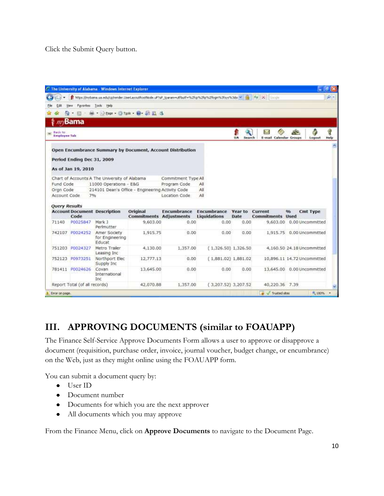Click the Submit Query button.

|                                |                               | The University of Alabama - Windows Internet Explorer |                                                  |                                                                                                                              |                                           |                        |                                      |            | $\Box$ and $\times$         |           |
|--------------------------------|-------------------------------|-------------------------------------------------------|--------------------------------------------------|------------------------------------------------------------------------------------------------------------------------------|-------------------------------------------|------------------------|--------------------------------------|------------|-----------------------------|-----------|
|                                |                               |                                                       |                                                  | https://mybaria.ua.adu/cp/render.UserLayoutRootNode.uP?uP_tparammutfbutf=%2fcp%2flot%2flogn%3fsys%3dsi =   ++   X     Cocolo |                                           |                        |                                      |            |                             | $\rho$ .  |
|                                | Favorites                     | Tools Help                                            |                                                  |                                                                                                                              |                                           |                        |                                      |            |                             |           |
|                                |                               |                                                       | · 图 · M · 2000 · 3 Took · W · 20 回 3             |                                                                                                                              |                                           |                        |                                      |            |                             |           |
|                                | Bama                          |                                                       |                                                  |                                                                                                                              |                                           |                        |                                      |            |                             |           |
|                                |                               |                                                       |                                                  |                                                                                                                              |                                           |                        |                                      |            |                             |           |
| Back to<br><b>Employee Tab</b> |                               |                                                       |                                                  |                                                                                                                              |                                           | UA<br>Search           | <b>And</b><br>E-mail Calendar Groups |            | Logout                      | Q<br>Help |
|                                |                               |                                                       |                                                  |                                                                                                                              |                                           |                        |                                      |            |                             |           |
|                                |                               |                                                       |                                                  | Open Encumbrance Summary by Document, Account Distribution                                                                   |                                           |                        |                                      |            |                             |           |
|                                | Period Ending Dec 31, 2009    |                                                       |                                                  |                                                                                                                              |                                           |                        |                                      |            |                             |           |
|                                |                               |                                                       |                                                  |                                                                                                                              |                                           |                        |                                      |            |                             |           |
|                                | As of Jan 19, 2010            |                                                       |                                                  |                                                                                                                              |                                           |                        |                                      |            |                             |           |
|                                |                               | Chart of Accounts A The University of Alabama         |                                                  | Commitment Type All                                                                                                          |                                           |                        |                                      |            |                             |           |
| Fund Code<br>Oran Code         |                               | 11000 Operations - E&G                                |                                                  | Program Code                                                                                                                 | All<br>All                                |                        |                                      |            |                             |           |
| Account Code                   | 7%                            |                                                       | 214101 Dean's Office - Engineering Activity Code | Location Code                                                                                                                | All                                       |                        |                                      |            |                             |           |
|                                |                               |                                                       |                                                  |                                                                                                                              |                                           |                        |                                      |            |                             |           |
| <b>Query Results</b>           |                               |                                                       |                                                  |                                                                                                                              |                                           |                        |                                      |            |                             |           |
|                                | Code                          | <b>Account Document Description</b>                   | Original<br><b>Commitments Adjustments</b>       | Encumbrance                                                                                                                  | <b>Encumbrance</b><br><b>Liquidations</b> | Year to<br><b>Date</b> | Current<br><b>Commitments Used</b>   | <b>G/n</b> | Cmt Type                    |           |
| 71140                          | P0025847                      | Mark 1<br>Perimutter                                  | 9,603.00                                         | 0.00                                                                                                                         | 0.00                                      | 0.00                   | 9,603.00                             |            | 0.00 Uncommitted            |           |
| 742107                         | P0024252                      | Amer Society<br>for Engineering<br>Educat             | 1,915.75                                         | 0.00                                                                                                                         | 0.00                                      | 0.00                   |                                      |            | 1,915.75 0.00 Uncommitted   |           |
|                                | 751203 P0024327               | Metro Trailer<br>Leasing Inc                          | 4,130.00                                         | 1,357.00                                                                                                                     | $(1,326.50)$ 1,326.50                     |                        |                                      |            | 4,160.50 24,18 Uncommitted  |           |
| 752123                         | P0973251                      | Northport Elec<br>Supply Inc.                         | 12,777.13                                        | 0.00                                                                                                                         | (1,881.02) 1,881.02                       |                        |                                      |            | 10,896.11 14.72 Uncommitted |           |
|                                | 781411 P0024626               | Covan<br>International<br>Inc                         | 13,645.00                                        | 0.00                                                                                                                         | 0.00                                      | 0.00                   | 13,645.00                            |            | 0.00 Uncommitted            |           |
|                                | Report Total (of all records) |                                                       | 42,070.88                                        | 1,357.00                                                                                                                     | $(3,207.52)$ 3,207.52                     |                        | 40,220.36 7.39                       |            |                             |           |
| Error on page.                 |                               |                                                       |                                                  |                                                                                                                              |                                           |                        | Trusted skes                         |            | ft. 100%                    |           |

## **III. APPROVING DOCUMENTS (similar to FOAUAPP)**

The Finance Self-Service Approve Documents Form allows a user to approve or disapprove a document (requisition, purchase order, invoice, journal voucher, budget change, or encumbrance) on the Web, just as they might online using the FOAUAPP form.

You can submit a document query by:

- User ID
- Document number
- Documents for which you are the next approver
- All documents which you may approve

From the Finance Menu, click on **Approve Documents** to navigate to the Document Page.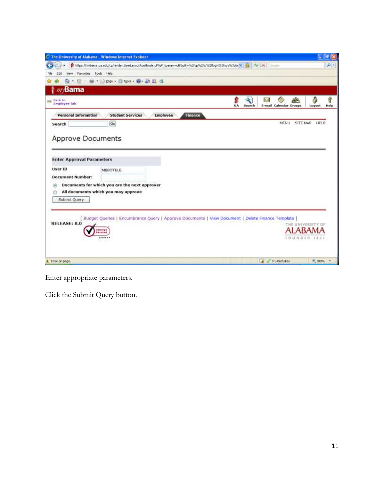| The University of Alabama - Windows Internet Explorer                                                                                                                                  |         |        |             |                        |          | гq                | ø         |
|----------------------------------------------------------------------------------------------------------------------------------------------------------------------------------------|---------|--------|-------------|------------------------|----------|-------------------|-----------|
| https://mybana.ua.adu/cp/render.UserLayoutRootNode.uP/uP_tparammutfbutf="%2fcp%2fkp%2fkpm%3fsys%3dsi v   +   +   +   X   Coccio                                                        |         |        |             |                        |          |                   | $\rho$ .  |
| Favorites<br>Tools Help<br><b>View</b><br>'di                                                                                                                                          |         |        |             |                        |          |                   |           |
| · 图 · M · 2000 · 3 Took · 四· 四 日 3<br>m                                                                                                                                                |         |        |             |                        |          |                   |           |
| $m$ Bama                                                                                                                                                                               |         |        |             |                        |          |                   |           |
| Back to<br><b>Employee Tab</b>                                                                                                                                                         | UA      | Search | <b>And</b>  | E-mail Calendar Groups | 2×       | ê<br>Logout       | 8<br>Help |
| <b>Personal Information</b><br><b>Student Services</b><br>Employee                                                                                                                     | Finance |        |             |                        |          |                   |           |
| Go<br>Search                                                                                                                                                                           |         |        |             | MENU                   | SITE MAP | <b>HELP</b>       |           |
| <b>Enter Approval Parameters</b><br><b>User ID</b><br>MBBOTELE<br><b>Document Number:</b><br>Documents for which you are the next approver<br>G<br>All documents which you may approve |         |        |             |                        |          |                   |           |
| Submit Query                                                                                                                                                                           |         |        |             |                        |          |                   |           |
| [ Budget Queries   Encumbrance Query   Approve Documents   View Document   Delete Finance Template ]<br><b>RELEASE: 8.0</b>                                                            |         |        |             |                        |          | THE UNIVERSITY OF |           |
| weitlign.<br><b>Lecured</b>                                                                                                                                                            |         |        |             |                        |          | ALABAMA           |           |
| VENIFYA                                                                                                                                                                                |         |        |             |                        |          | FOUNDED 1831      |           |
|                                                                                                                                                                                        |         |        |             |                        |          |                   |           |
| Error on page.                                                                                                                                                                         |         |        | <b>They</b> | Trusted skes           |          | 元 100%            | $-7$      |

Enter appropriate parameters.

Click the Submit Query button.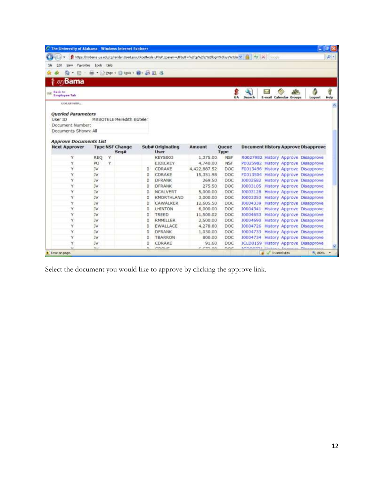| C. The University of Alabama - Windows Internet Explorer |               |   |                                      |   |                                                                                                                    |                |                      |                          |                 |                                      | $=$ $\sigma$                               |            |
|----------------------------------------------------------|---------------|---|--------------------------------------|---|--------------------------------------------------------------------------------------------------------------------|----------------|----------------------|--------------------------|-----------------|--------------------------------------|--------------------------------------------|------------|
| я                                                        |               |   |                                      |   | https://mybaria.ua.adu/cp/render.UserLayoutRootNode.uP/\uP_tparammutfbutf=%2fcp%2fip%2flogn%3fsys%3dsi \v   ++   X |                |                      |                          | <b>Descrite</b> |                                      |                                            | $\Omega$ - |
| Edit<br>Favorites<br>File<br>View                        | Tools Help    |   |                                      |   |                                                                                                                    |                |                      |                          |                 |                                      |                                            |            |
| 局<br>٠.<br>×                                             |               |   | <b>Mi * 2000 * 1000 * 10 10 11 3</b> |   |                                                                                                                    |                |                      |                          |                 |                                      |                                            |            |
| <b>Bama</b>                                              |               |   |                                      |   |                                                                                                                    |                |                      |                          |                 |                                      |                                            |            |
|                                                          |               |   |                                      |   |                                                                                                                    |                |                      |                          |                 |                                      |                                            |            |
| Back to<br><b>Employee Tab</b>                           |               |   |                                      |   |                                                                                                                    |                | UA                   | Search                   | <b>And</b>      | <b>SER</b><br>E-mail Calendar Groups | Logout                                     | Q<br>Help  |
| <b>GDC LEBRITIC.</b>                                     |               |   |                                      |   |                                                                                                                    |                |                      |                          |                 |                                      |                                            |            |
|                                                          |               |   |                                      |   |                                                                                                                    |                |                      |                          |                 |                                      |                                            |            |
| <b>Queried Parameters</b>                                |               |   |                                      |   |                                                                                                                    |                |                      |                          |                 |                                      |                                            |            |
| User ID                                                  |               |   | MBBOTELE Meredith Boteler            |   |                                                                                                                    |                |                      |                          |                 |                                      |                                            |            |
| Document Number:                                         |               |   |                                      |   |                                                                                                                    |                |                      |                          |                 |                                      |                                            |            |
| Documents Shown: All                                     |               |   |                                      |   |                                                                                                                    |                |                      |                          |                 |                                      |                                            |            |
| <b>Approve Documents List</b>                            |               |   |                                      |   |                                                                                                                    |                |                      |                          |                 |                                      |                                            |            |
| <b>Next Approver</b>                                     |               |   | <b>Type NSF Change</b><br>Seq#       |   | Sub# Originating<br><b>User</b>                                                                                    | Amount         | Queue<br><b>Type</b> |                          |                 |                                      | <b>Document History Approve Disapprove</b> |            |
| Ϋ                                                        | <b>REQ</b>    | Y |                                      |   | <b>KEYS003</b>                                                                                                     | 1,375.00       | <b>NSF</b>           |                          |                 |                                      | R0027982 History Approve Disapprove        |            |
| Y                                                        | PO            | Ý |                                      |   | EJDICKEY                                                                                                           | 4,740.00       | <b>NSF</b>           |                          |                 |                                      | P0025982 History Approve Disapprove        |            |
| Y                                                        | JV            |   |                                      | 0 | CDRAKE                                                                                                             | 4,422,887.52   | DOC                  |                          |                 |                                      | F0013496 History Approve Disapprove        |            |
| Y                                                        | JV            |   |                                      | 0 | CDRAKE                                                                                                             | 15,351.98      | DOC                  |                          |                 |                                      | F0013504 History Approve Disapprove        |            |
| ٧                                                        | JV            |   |                                      | Ö | <b>DFRANK</b>                                                                                                      | 269.50         | DOC                  |                          |                 |                                      | J0002582 History Approve Disapprove        |            |
| Y                                                        | 3V            |   |                                      | 0 | DFRANK                                                                                                             | 275.50         | DOC                  |                          |                 |                                      | J0003105 History Approve Disapprove        |            |
| Y                                                        | $\mathcal{W}$ |   |                                      | 0 | <b>NCALVERT</b>                                                                                                    | 5.000.00       | DOC                  |                          |                 |                                      | J0003128 History Approve Disapprove        |            |
| Υ                                                        | JV.           |   |                                      | 0 | KMORTHLAND                                                                                                         | 3,000.00       | DOC                  |                          |                 |                                      | J0003353 History Approve Disapprove        |            |
| Y                                                        | $\mathcal{W}$ |   |                                      | o | CAWALKER                                                                                                           | 12,605.50      | DOC                  |                          |                 |                                      | 10004339 History Approve Disapprove        |            |
| Y.                                                       | <b>IV</b>     |   |                                      | 0 | LHINTON                                                                                                            | 6,000.00       | DOC                  |                          |                 |                                      | 10004341 History Approve Disapprove        |            |
| Ÿ                                                        | JV.           |   |                                      | Ũ | TREED                                                                                                              | 11,500.02      | DOC                  |                          |                 |                                      | 10004653 History Approve Disapprove        |            |
| Y.                                                       | <b>JV</b>     |   |                                      | 0 | RMMILLER                                                                                                           | 2,500.00       | DOC                  |                          |                 |                                      | J0004690 History Approve Disapprove        |            |
| Ÿ                                                        | JV            |   |                                      | Ō | <b>EWALLACE</b>                                                                                                    | 4,278.80       | DOC                  |                          |                 |                                      | 30004726 History Approve Disapprove        |            |
| Y.                                                       | JV.           |   |                                      | 0 | DFRANK                                                                                                             | 1,030.00       | DOC                  |                          |                 |                                      | J0004733 History Approve Disapprove        |            |
| ٧                                                        | 3V            |   |                                      | 0 | TBARRON                                                                                                            | 800.00         | DOC                  |                          |                 |                                      | 10004734 History Approve Disapprove        |            |
| Y                                                        | JV.           |   |                                      | 0 | CDRAKE                                                                                                             | 91.60          | DOC                  |                          |                 |                                      | JCLD0159 History Approve Disapprove        |            |
| <b>SE</b>                                                | 33.4          |   |                                      | n | <b>PERSONAL ARM</b>                                                                                                | $r$ $r$ an $n$ | nne                  | <b>SUPPLIER IS THE R</b> |                 |                                      | <b>Pilano</b>                              |            |
| Error on page.                                           |               |   |                                      |   |                                                                                                                    |                |                      |                          | Trusted sites   |                                      | 九 100%                                     |            |

Select the document you would like to approve by clicking the approve link.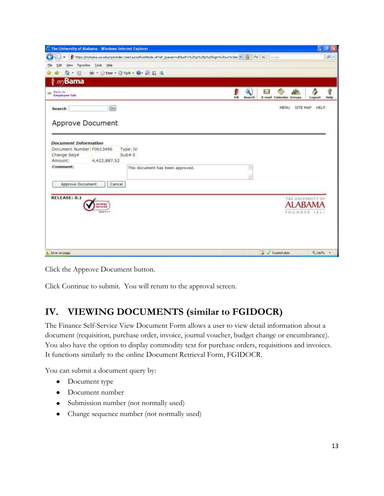|                                                                                    |                                                                                                                            |              |                                                       | $-10$     |
|------------------------------------------------------------------------------------|----------------------------------------------------------------------------------------------------------------------------|--------------|-------------------------------------------------------|-----------|
|                                                                                    | https://mybana.ua.adu/cp/render.UserLayoutRootNode.uP/uP_tparammutfbutf=%2fcp%2fkp%2fkpm%3fsys%3dsi v   +   +   X   Google |              |                                                       | $\rho$ .  |
| Tools Help<br><b>View</b><br>Favorites<br>Edit                                     |                                                                                                                            |              |                                                       |           |
| G.                                                                                 | · 图 · M · Shope · O Took · D · 四 国 名                                                                                       |              |                                                       |           |
| $\mathscr{W}$ Bama                                                                 |                                                                                                                            |              |                                                       |           |
| Back to<br>m.<br><b>Employee Tab</b>                                               |                                                                                                                            | UA<br>Search | è<br>ili p<br>h d<br>E-mail Calendar Groups<br>Logout | q<br>Help |
| Search                                                                             | Go                                                                                                                         |              | SITE MAP HELP<br>MENU                                 |           |
| <b>Approve Document</b>                                                            |                                                                                                                            |              |                                                       |           |
| <b>Document Information</b><br>Document Number: F0013496<br>Change Seq#<br>Amount: | Type: JV<br>Sub#0<br>4,422,887.52                                                                                          |              |                                                       |           |
| Comment:                                                                           | This document has been approved.                                                                                           | ۰            |                                                       |           |
| Approve Document                                                                   | Cancel                                                                                                                     |              |                                                       |           |
| RELEASE: 8.1<br>feriSian<br>tecures<br>VANIEVE                                     |                                                                                                                            |              | THE UNIVERSITY OF<br><b>ALABAN</b><br>FOUNDED (83)    |           |
|                                                                                    |                                                                                                                            |              |                                                       |           |

Click the Approve Document button.

Click Continue to submit. You will return to the approval screen.

## **IV. VIEWING DOCUMENTS (similar to FGIDOCR)**

The Finance Self-Service View Document Form allows a user to view detail information about a document (requisition, purchase order, invoice, journal voucher, budget change or encumbrance). You also have the option to display commodity text for purchase orders, requisitions and invoices. It functions similarly to the online Document Retrieval Form, FGIDOCR.

You can submit a document query by:

- Document type
- Document number
- Submission number (not normally used)
- Change sequence number (not normally used)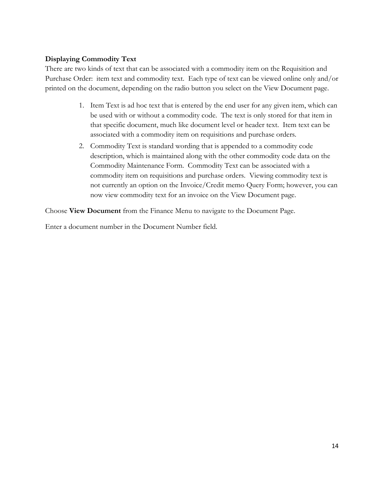#### **Displaying Commodity Text**

There are two kinds of text that can be associated with a commodity item on the Requisition and Purchase Order: item text and commodity text. Each type of text can be viewed online only and/or printed on the document, depending on the radio button you select on the View Document page.

- 1. Item Text is ad hoc text that is entered by the end user for any given item, which can be used with or without a commodity code. The text is only stored for that item in that specific document, much like document level or header text. Item text can be associated with a commodity item on requisitions and purchase orders.
- 2. Commodity Text is standard wording that is appended to a commodity code description, which is maintained along with the other commodity code data on the Commodity Maintenance Form. Commodity Text can be associated with a commodity item on requisitions and purchase orders. Viewing commodity text is not currently an option on the Invoice/Credit memo Query Form; however, you can now view commodity text for an invoice on the View Document page.

Choose **View Document** from the Finance Menu to navigate to the Document Page.

Enter a document number in the Document Number field.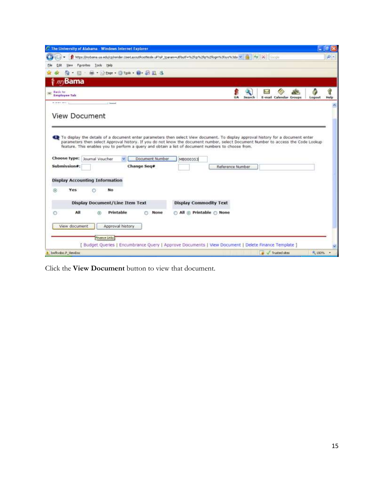| C The University of Alabama - Windows Internet Explorer                                                                                                                                                                                                                                                                                                                                                 |        |                        |        | $\Box$         |
|---------------------------------------------------------------------------------------------------------------------------------------------------------------------------------------------------------------------------------------------------------------------------------------------------------------------------------------------------------------------------------------------------------|--------|------------------------|--------|----------------|
| https://mybaria.ua.edu/cp/render.UserLayoutRootNode.uP/tuP_tparammutfbutf=%2fcp%2fkp%2fkgm%3fsys%3dsi [4] [4] [4] [20000                                                                                                                                                                                                                                                                                |        |                        |        | $\mathbf{p}$ - |
| Favorites<br>Tools Help<br><b>Views</b>                                                                                                                                                                                                                                                                                                                                                                 |        |                        |        |                |
| 图 · M · 2000 · 3 Took · D · 图 显 3<br>$\overline{\phantom{a}}$ .                                                                                                                                                                                                                                                                                                                                         |        |                        |        |                |
| $\mathscr{W}$ Bama                                                                                                                                                                                                                                                                                                                                                                                      |        |                        |        |                |
| Back to<br><b>Employee Tab</b><br>UA<br><b>A more details</b><br>of the property                                                                                                                                                                                                                                                                                                                        | Search | E-mail Calendar Groups | Logout | Q<br>Help      |
| <b>View Document</b><br>16 To display the details of a document enter parameters then select View document. To display approval history for a document enter<br>parameters then select Approval history. If you do not know the document number, select Document Number to access the Code Lookup<br>feature. This enables you to perform a query and obtain a list of document numbers to choose from. |        |                        |        |                |
| Choose type: Journal Voucher<br>Document Number<br>MB000353<br>Submission#:<br>Change Seq#<br>Reference Number                                                                                                                                                                                                                                                                                          |        |                        |        |                |
| <b>Display Accounting Information</b><br>No<br>Yes<br>O<br>Θ                                                                                                                                                                                                                                                                                                                                            |        |                        |        |                |
| <b>Display Document/Line Item Text</b><br><b>Display Commodity Text</b>                                                                                                                                                                                                                                                                                                                                 |        |                        |        |                |
| All<br>Printable<br>All @ Printable @ None<br>None<br>$\odot$                                                                                                                                                                                                                                                                                                                                           |        |                        |        |                |
| Approval history<br>View document                                                                                                                                                                                                                                                                                                                                                                       |        |                        |        |                |
| Finance Links                                                                                                                                                                                                                                                                                                                                                                                           |        |                        |        |                |
| Budget Queries   Encumbrance Query   Approve Documents   View Document   Delete Finance Template                                                                                                                                                                                                                                                                                                        |        |                        |        |                |
| bwflydoc.P. WewDoc                                                                                                                                                                                                                                                                                                                                                                                      |        |                        |        |                |

Click the **View Document** button to view that document.